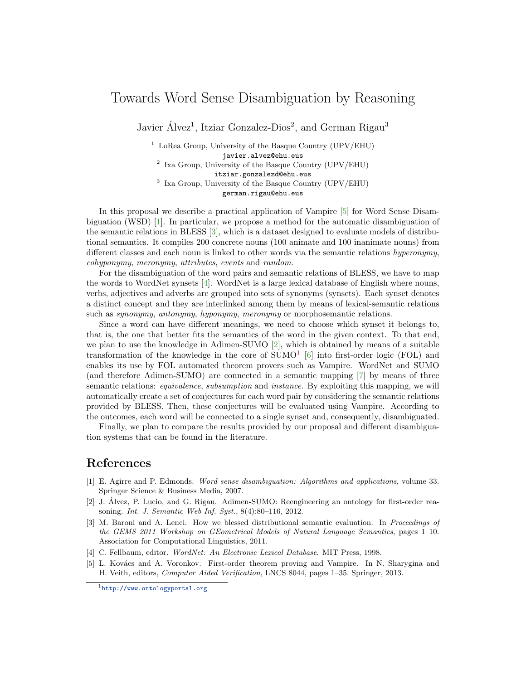## Towards Word Sense Disambiguation by Reasoning

Javier Álvez<sup>1</sup>, Itziar Gonzalez-Dios<sup>2</sup>, and German Rigau<sup>3</sup>

 $1$  LoRea Group, University of the Basque Country (UPV/EHU) javier.alvez@ehu.eus 2 Ixa Group, University of the Basque Country (UPV/EHU) itziar.gonzalezd@ehu.eus 3 Ixa Group, University of the Basque Country (UPV/EHU) german.rigau@ehu.eus

In this proposal we describe a practical application of Vampire [\[5\]](#page-0-0) for Word Sense Disambiguation (WSD) [\[1\]](#page-0-1). In particular, we propose a method for the automatic disambiguation of the semantic relations in BLESS [\[3\]](#page-0-2), which is a dataset designed to evaluate models of distributional semantics. It compiles 200 concrete nouns (100 animate and 100 inanimate nouns) from different classes and each noun is linked to other words via the semantic relations hyperonymy, cohyponymy, meronymy, attributes, events and random.

For the disambiguation of the word pairs and semantic relations of BLESS, we have to map the words to WordNet synsets [\[4\]](#page-0-3). WordNet is a large lexical database of English where nouns, verbs, adjectives and adverbs are grouped into sets of synonyms (synsets). Each synset denotes a distinct concept and they are interlinked among them by means of lexical-semantic relations such as *synonymy, antonymy, hyponymy, meronymy* or morphosemantic relations.

Since a word can have different meanings, we need to choose which synset it belongs to, that is, the one that better fits the semantics of the word in the given context. To that end, we plan to use the knowledge in Adimen-SUMO [\[2\]](#page-0-4), which is obtained by means of a suitable transformation of the knowledge in the core of  $SUMO<sup>1</sup>$  $SUMO<sup>1</sup>$  $SUMO<sup>1</sup>$  [\[6\]](#page-1-0) into first-order logic (FOL) and enables its use by FOL automated theorem provers such as Vampire. WordNet and SUMO (and therefore Adimen-SUMO) are connected in a semantic mapping [\[7\]](#page-1-1) by means of three semantic relations: *equivalence*, *subsumption* and *instance*. By exploiting this mapping, we will automatically create a set of conjectures for each word pair by considering the semantic relations provided by BLESS. Then, these conjectures will be evaluated using Vampire. According to the outcomes, each word will be connected to a single synset and, consequently, disambiguated.

Finally, we plan to compare the results provided by our proposal and different disambiguation systems that can be found in the literature.

## References

- <span id="page-0-1"></span>[1] E. Agirre and P. Edmonds. Word sense disambiguation: Algorithms and applications, volume 33. Springer Science & Business Media, 2007.
- <span id="page-0-4"></span>[2] J. Alvez, P. Lucio, and G. Rigau. Adimen-SUMO: Reengineering an ontology for first-order rea- ´ soning. Int. J. Semantic Web Inf. Syst., 8(4):80–116, 2012.
- <span id="page-0-2"></span>[3] M. Baroni and A. Lenci. How we blessed distributional semantic evaluation. In Proceedings of the GEMS 2011 Workshop on GEometrical Models of Natural Language Semantics, pages 1–10. Association for Computational Linguistics, 2011.
- <span id="page-0-3"></span>[4] C. Fellbaum, editor. WordNet: An Electronic Lexical Database. MIT Press, 1998.
- <span id="page-0-0"></span>[5] L. Kovács and A. Voronkov. First-order theorem proving and Vampire. In N. Sharygina and H. Veith, editors, Computer Aided Verification, LNCS 8044, pages 1–35. Springer, 2013.

<span id="page-0-5"></span><sup>1</sup><http://www.ontologyportal.org>